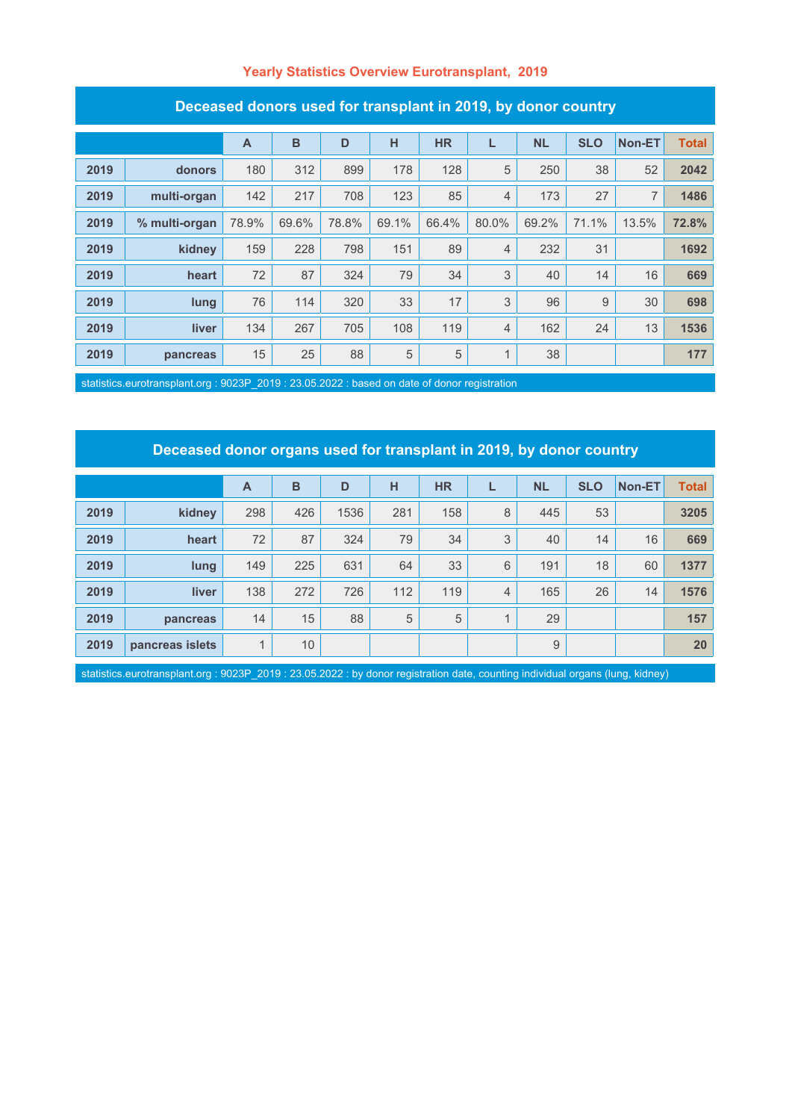#### **Yearly Statistics Overview Eurotransplant, 2019**

| Deceased donors used for transplant in 2019, by donor country |               |       |       |       |       |           |              |           |            |        |              |
|---------------------------------------------------------------|---------------|-------|-------|-------|-------|-----------|--------------|-----------|------------|--------|--------------|
|                                                               |               | A     | B     | D     | н     | <b>HR</b> | L            | <b>NL</b> | <b>SLO</b> | Non-ET | <b>Total</b> |
| 2019                                                          | donors        | 180   | 312   | 899   | 178   | 128       | 5            | 250       | 38         | 52     | 2042         |
| 2019                                                          | multi-organ   | 142   | 217   | 708   | 123   | 85        | 4            | 173       | 27         | 7      | 1486         |
| 2019                                                          | % multi-organ | 78.9% | 69.6% | 78.8% | 69.1% | 66.4%     | 80.0%        | 69.2%     | 71.1%      | 13.5%  | 72.8%        |
| 2019                                                          | kidney        | 159   | 228   | 798   | 151   | 89        | 4            | 232       | 31         |        | 1692         |
| 2019                                                          | heart         | 72    | 87    | 324   | 79    | 34        | 3            | 40        | 14         | 16     | 669          |
| 2019                                                          | lung          | 76    | 114   | 320   | 33    | 17        | 3            | 96        | 9          | 30     | 698          |
| 2019                                                          | liver         | 134   | 267   | 705   | 108   | 119       | 4            | 162       | 24         | 13     | 1536         |
| 2019                                                          | pancreas      | 15    | 25    | 88    | 5     | 5         | $\mathbf{1}$ | 38        |            |        | 177          |

statistics.eurotransplant.org : 9023P\_2019 : 23.05.2022 : based on date of donor registration

# **Deceased donor organs used for transplant in 2019, by donor country**

|      |                 | $\overline{A}$ | B               | D    | н   | <b>HR</b> |                | <b>NL</b> | <b>SLO</b> | Non-ET | <b>Total</b> |
|------|-----------------|----------------|-----------------|------|-----|-----------|----------------|-----------|------------|--------|--------------|
| 2019 | kidney          | 298            | 426             | 1536 | 281 | 158       | 8              | 445       | 53         |        | 3205         |
| 2019 | heart           | 72             | 87              | 324  | 79  | 34        | 3              | 40        | 14         | 16     | 669          |
| 2019 | lung            | 149            | 225             | 631  | 64  | 33        | 6              | 191       | 18         | 60     | 1377         |
| 2019 | <b>liver</b>    | 138            | 272             | 726  | 112 | 119       | $\overline{4}$ | 165       | 26         | 14     | 1576         |
| 2019 | pancreas        | 14             | 15              | 88   | 5   | 5         |                | 29        |            |        | 157          |
| 2019 | pancreas islets | 1              | 10 <sup>°</sup> |      |     |           |                | 9         |            |        | 20           |

statistics.eurotransplant.org : 9023P\_2019 : 23.05.2022 : by donor registration date, counting individual organs (lung, kidney)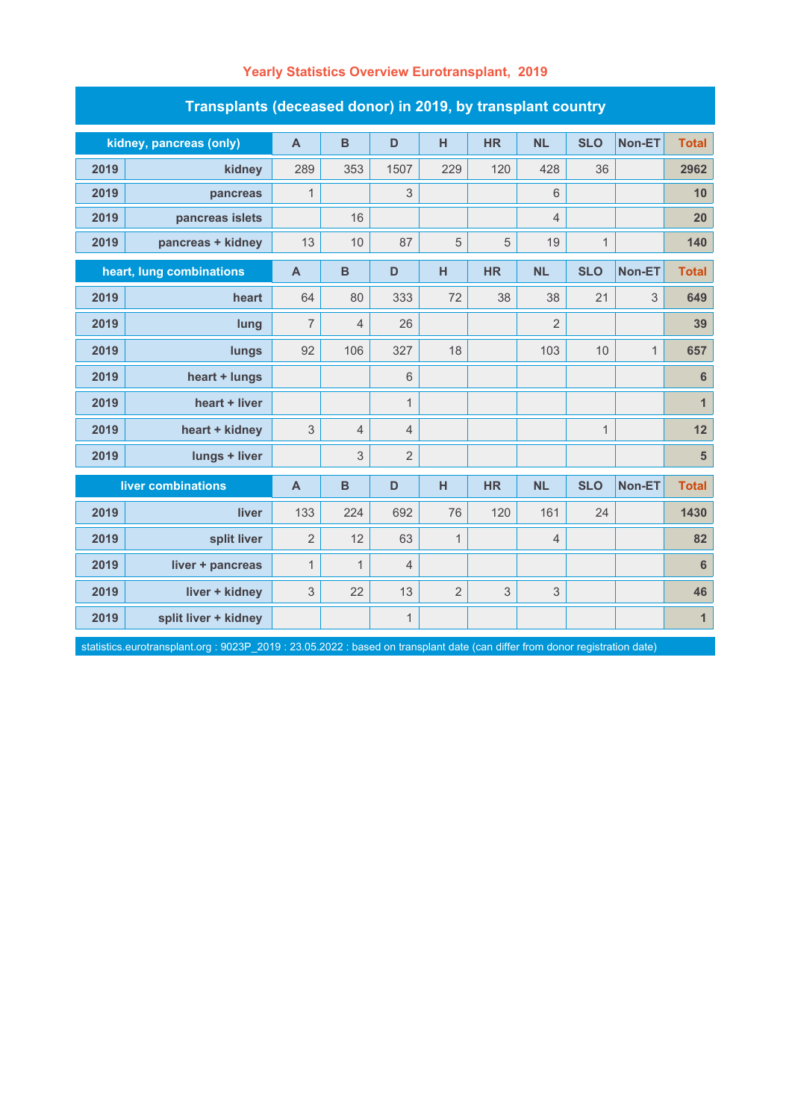| Transplants (deceased donor) in 2019, by transplant country |                         |                |                |                |                |           |                |              |               |                         |  |
|-------------------------------------------------------------|-------------------------|----------------|----------------|----------------|----------------|-----------|----------------|--------------|---------------|-------------------------|--|
|                                                             | kidney, pancreas (only) | $\mathsf{A}$   | $\mathbf B$    | D              | H              | <b>HR</b> | <b>NL</b>      | <b>SLO</b>   | Non-ET        | <b>Total</b>            |  |
| 2019                                                        | kidney                  | 289            | 353            | 1507           | 229            | 120       | 428            | 36           |               | 2962                    |  |
| 2019                                                        | pancreas                | $\mathbf{1}$   |                | 3              |                |           | $6\phantom{1}$ |              |               | 10                      |  |
| 2019                                                        | pancreas islets         |                | 16             |                |                |           | $\overline{4}$ |              |               | 20                      |  |
| 2019                                                        | pancreas + kidney       | 13             | 10             | 87             | 5              | 5         | 19             | $\mathbf{1}$ |               | 140                     |  |
| heart, lung combinations                                    |                         | $\overline{A}$ | B              | D              | H              | <b>HR</b> | <b>NL</b>      | <b>SLO</b>   | Non-ET        | <b>Total</b>            |  |
| 2019                                                        | heart                   | 64             | 80             | 333            | 72             | 38        | 38             | 21           | 3             | 649                     |  |
| 2019                                                        | lung                    | $\overline{7}$ | 4              | 26             |                |           | $\overline{2}$ |              |               | 39                      |  |
| 2019                                                        | lungs                   | 92             | 106            | 327            | 18             |           | 103            | 10           | $\mathbf{1}$  | 657                     |  |
| 2019                                                        | heart + lungs           |                |                | 6              |                |           |                |              |               | $\bf 6$                 |  |
| 2019                                                        | heart + liver           |                |                | $\mathbf{1}$   |                |           |                |              |               | $\mathbf{1}$            |  |
| 2019                                                        | heart + kidney          | 3              | $\overline{4}$ | 4              |                |           |                | $\mathbf{1}$ |               | 12                      |  |
| 2019                                                        | lungs + liver           |                | 3              | $\overline{2}$ |                |           |                |              |               | $\overline{\mathbf{5}}$ |  |
| liver combinations                                          |                         | $\mathsf{A}$   | B              | D              | H              | <b>HR</b> | <b>NL</b>      | <b>SLO</b>   | <b>Non-ET</b> | <b>Total</b>            |  |
| 2019                                                        | liver                   | 133            | 224            | 692            | 76             | 120       | 161            | 24           |               | 1430                    |  |
| 2019                                                        | split liver             | $\overline{2}$ | 12             | 63             | $\mathbf{1}$   |           | $\overline{4}$ |              |               | 82                      |  |
| 2019                                                        | liver + pancreas        | $\mathbf{1}$   | $\mathbf{1}$   | $\overline{4}$ |                |           |                |              |               | $\bf 6$                 |  |
| 2019                                                        | liver + kidney          | 3              | 22             | 13             | $\overline{2}$ | 3         | $\mathfrak{S}$ |              |               | 46                      |  |
| 2019                                                        | split liver + kidney    |                |                | $\mathbf{1}$   |                |           |                |              |               | $\mathbf{1}$            |  |

statistics.eurotransplant.org : 9023P\_2019 : 23.05.2022 : based on transplant date (can differ from donor registration date)

### **Yearly Statistics Overview Eurotransplant, 2019**